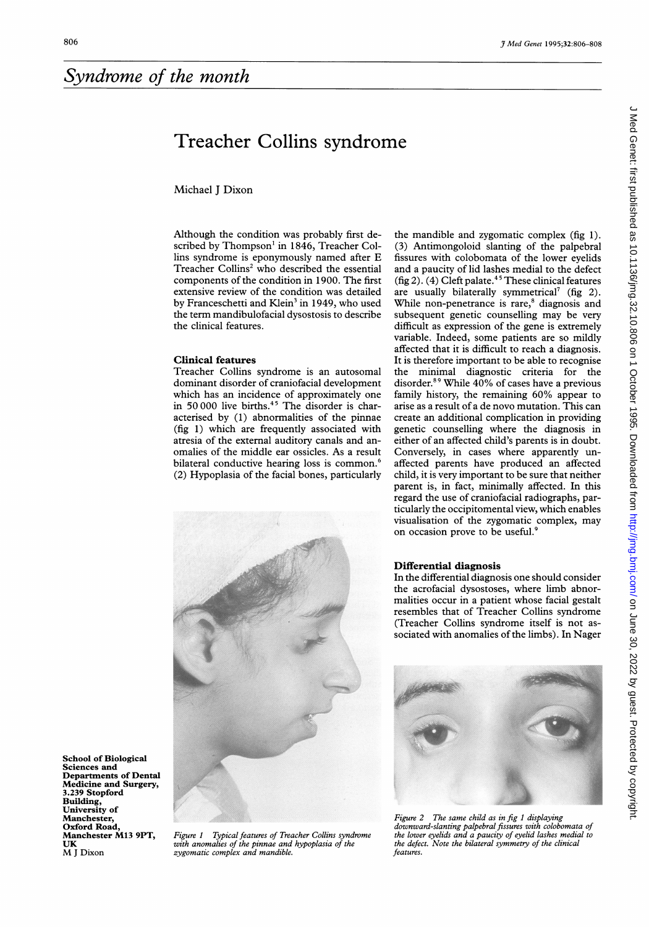School of Biological Sciences and

UK M <sup>J</sup> Dixon

Departments of Dental Medicine and Surgery, 3.239 Stopford Building, University of Manchester, Oxford Road, Manchester M13 9PT,

## Treacher Collins syndrome

Michael J Dixon

Although the condition was probably first described by Thompson' in 1846, Treacher Collins syndrome is eponymously named after E Treacher Collins<sup>2</sup> who described the essential components of the condition in 1900. The first extensive review of the condition was detailed by Franceschetti and Klein<sup>3</sup> in 1949, who used the term mandibulofacial dysostosis to describe the clinical features.

## Clinical features

Treacher Collins syndrome is an autosomal dominant disorder of craniofacial development which has an incidence of approximately one in 50000 live births.<sup>45</sup> The disorder is characterised by (1) abnormalities of the pinnae (fig 1) which are frequently associated with atresia of the external auditory canals and anomalies of the middle ear ossicles. As a result bilateral conductive hearing loss is common.<sup>6</sup> (2) Hypoplasia of the facial bones, particularly



Figure <sup>1</sup> Typical features of Treacher Collins syndrome with anomalies of the pinnae and hypoplasia of the zygomatic complex and mandible.

the mandible and zygomatic complex (fig 1). (3) Antimongoloid slanting of the palpebral fissures with colobomata of the lower eyelids and a paucity of lid lashes medial to the defect (fig 2). (4) Cleft palate.<sup>45</sup> These clinical features are usually bilaterally symmetrical<sup>7</sup> (fig 2). While non-penetrance is rare,<sup>8</sup> diagnosis and subsequent genetic counselling may be very difficult as expression of the gene is extremely variable. Indeed, some patients are so mildly affected that it is difficult to reach a diagnosis. It is therefore important to be able to recognise the minimal diagnostic criteria for the disorder.89 While 40% of cases have <sup>a</sup> previous family history, the remaining 60% appear to arise as a result of a de novo mutation. This can create an additional complication in providing genetic counselling where the diagnosis in either of an affected child's parents is in doubt. Conversely, in cases where apparently unaffected parents have produced an affected child, it is very important to be sure that neither parent is, in fact, minimally affected. In this regard the use of craniofacial radiographs, particularly the occipitomental view, which enables visualisation of the zygomatic complex, may on occasion prove to be useful.<sup>9</sup>

## Differential diagnosis

In the differential diagnosis one should consider the acrofacial dysostoses, where limb abnormalities occur in a patient whose facial gestalt resembles that of Treacher Collins syndrome (Treacher Collins syndrome itself is not associated with anomalies of the limbs). In Nager



Figure 2 The same child as in fig <sup>1</sup> displaying downward-slanting palpebral fissures with colobomata of the lower eyelids and a paucity of eyelid lashes medial to the defect. Note the bilateral symmetry of the clinical features.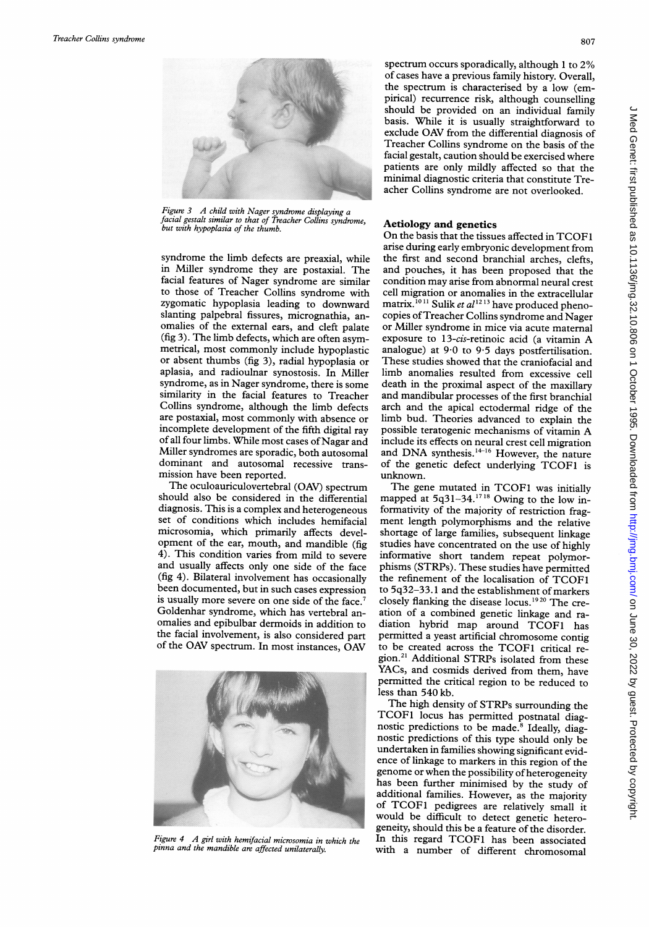

Figure <sup>3</sup> A child with Nager syndrome displaying <sup>a</sup> facial gestalt similar to that of Treacher Collins syndrome, but with hypoplasia of the thumb.

syndrome the limb defects are preaxial, while in Miller syndrome they are postaxial. The facial features of Nager syndrome are similar to those of Treacher Collins syndrome with zygomatic hypoplasia leading to downward slanting palpebral fissures, micrognathia, anomalies of the external ears, and cleft palate (fig 3). The limb defects, which are often asymmetrical, most commonly include hypoplastic or absent thumbs (fig 3), radial hypoplasia or aplasia, and radioulnar synostosis. In Miller syndrome, as in Nager syndrome, there is some similarity in the facial features to Treacher Collins syndrome, although the limb defects are postaxial, most commonly with absence or incomplete development of the fifth digital ray of all four limbs. While most cases of Nagar and Miller syndromes are sporadic, both autosomal dominant and autosomal recessive transmission have been reported.

The oculoauriculovertebral (OAV) spectrum should also be considered in the differential diagnosis. This is a complex and heterogeneous set of conditions which includes hemifacial microsomia, which primarily affects development of the ear, mouth, and mandible (fig 4). This condition varies from mild to severe and usually affects only one side of the face (fig 4). Bilateral involvement has occasionally been documented, but in such cases expression is usually more severe on one side of the face.<sup>7</sup> Goldenhar syndrome, which has vertebral anomalies and epibulbar dermoids in addition to the facial involvement, is also considered part of the OAV spectrum. In most instances, OAV



Figure <sup>4</sup> <sup>A</sup> girl with hemifacial microsomia in which the pinna and the mandible are affected unilaterally.

spectrum occurs sporadically, although <sup>1</sup> to 2% of cases have <sup>a</sup> previous family history. Overall, the spectrum is characterised by <sup>a</sup> low (empirical) recurrence risk, although counselling should be provided on an individual family basis. While it is usually straightforward to exclude OAV from the differential diagnosis of Treacher Collins syndrome on the basis of the facial gestalt, caution should be exercised where patients are only mildly affected so that the minimal diagnostic criteria that constitute Treacher Collins syndrome are not overlooked.

## Aetiology and genetics

On the basis that the tissues affected in TCOF1 arise during early embryonic development from the first and second branchial arches, clefts, and pouches, it has been proposed that the condition may arise from abnormal neural crest cell migration or anomalies in the extracellular matrix.<sup>1011</sup> Sulik et  $al^{1213}$  have produced phenocopies ofTreacher Collins syndrome and Nager or Miller syndrome in mice via acute maternal exposure to 13-cis-retinoic acid (a vitamin A analogue) at 9-0 to 9-5 days postfertilisation. These studies showed that the craniofacial and limb anomalies resulted from excessive cell death in the proximal aspect of the maxillary and mandibular processes of the first branchial arch and the apical ectodermal ridge of the limb bud. Theories advanced to explain the possible teratogenic mechanisms of vitamin A include its effects on neural crest cell migration and DNA synthesis.<sup>14-16</sup> However, the nature of the genetic defect underlying TCOF1 is unknown.

The gene mutated in TCOF1 was initially mapped at 5q31-34.<sup>1718</sup> Owing to the low informativity of the majority of restriction fragment length polymorphisms and the relative shortage of large families, subsequent linkage studies have concentrated on the use of highly informative short tandem repeat polymor phisms (STRPs). These studies have permitted the refinement of the localisation of TCOF1 to 5q32-33. <sup>1</sup> and the establishment of markers closely flanking the disease locus.'920 The creation of <sup>a</sup> combined genetic linkage and radiation hybrid map around TCOF1 has permitted <sup>a</sup> yeast artificial chromosome contig to be created across the TCOF1 critical region.<sup>21</sup> Additional STRPs isolated from these YACs, and cosmids derived from them, have permitted the critical region to be reduced to less than 540 kb.

The high density of STRPs surrounding the TCOF1 locus has permitted postnatal diag nostic predictions to be made.<sup>8</sup> Ideally, diagnostic predictions of this type should only be undertaken in families showing significant evidence of linkage to markers in this region of the genome or when the possibility of heterogeneity has been further minimised by the study of additional families. However, as the majority of TCOF1 pedigrees are relatively small it would be difficult to detect genetic heterogeneity, should this be a feature of the disorder. In this regard TCOF1 has been associated with <sup>a</sup> number of different chromosomal